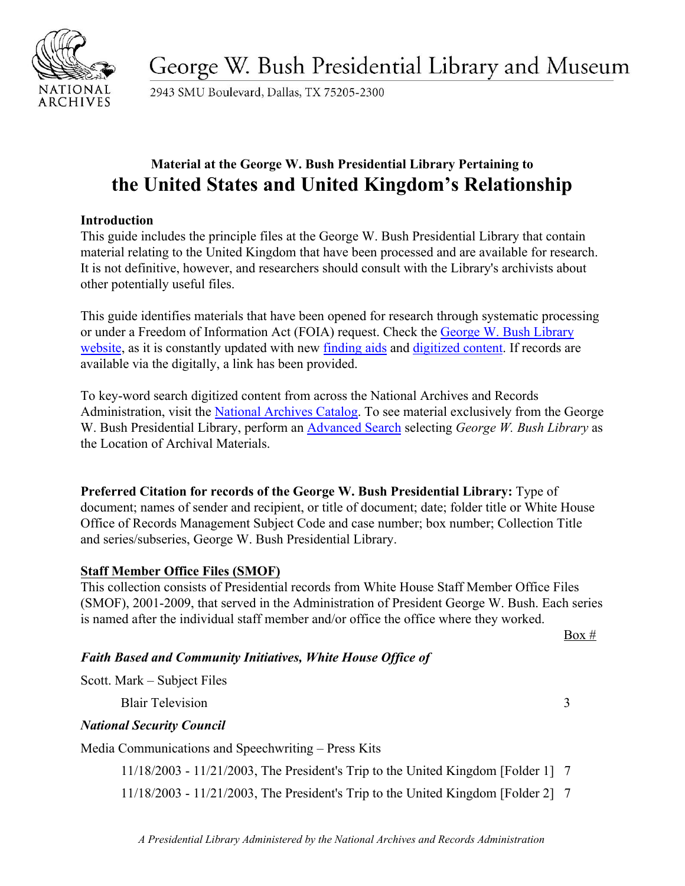

George W. Bush Presidential Library and Museum

2943 SMU Boulevard, Dallas, TX 75205-2300

# **Material at the George W. Bush Presidential Library Pertaining to the United States and United Kingdom's Relationship**

#### **Introduction**

This guide includes the principle files at the George W. Bush Presidential Library that contain material relating to the United Kingdom that have been processed and are available for research. It is not definitive, however, and researchers should consult with the Library's archivists about other potentially useful files.

This guide identifies materials that have been opened for research through systematic processing or under a Freedom of Information Act (FOIA) request. Check the [George W. Bush Library](https://www.georgewbushlibrary.gov/) [website,](https://www.georgewbushlibrary.gov/) as it is constantly updated with new [finding aids](https://www.georgewbushlibrary.gov/research/finding-aids) and [digitized content.](https://www.georgewbushlibrary.gov/research/records-search) If records are available via the digitally, a link has been provided.

To key-word search digitized content from across the National Archives and Records Administration, visit the [National Archives Catalog.](https://catalog.archives.gov/) To see material exclusively from the George W. Bush Presidential Library, perform an [Advanced Search](https://catalog.archives.gov/advancedsearch) selecting *George W. Bush Library* as the Location of Archival Materials.

**Preferred Citation for records of the George W. Bush Presidential Library:** Type of document; names of sender and recipient, or title of document; date; folder title or White House Office of Records Management Subject Code and case number; box number; Collection Title and series/subseries, George W. Bush Presidential Library.

### **Staff Member Office Files (SMOF)**

This collection consists of Presidential records from White House Staff Member Office Files (SMOF), 2001-2009, that served in the Administration of President George W. Bush. Each series is named after the individual staff member and/or office the office where they worked.

 $Box #$ 

# *Faith Based and Community Initiatives, White House Office of*

Scott. Mark – Subject Files

Blair Television 3

### *National Security Council*

Media Communications and Speechwriting – Press Kits

11/18/2003 - 11/21/2003, The President's Trip to the United Kingdom [Folder 1] 7

11/18/2003 - 11/21/2003, The President's Trip to the United Kingdom [Folder 2] 7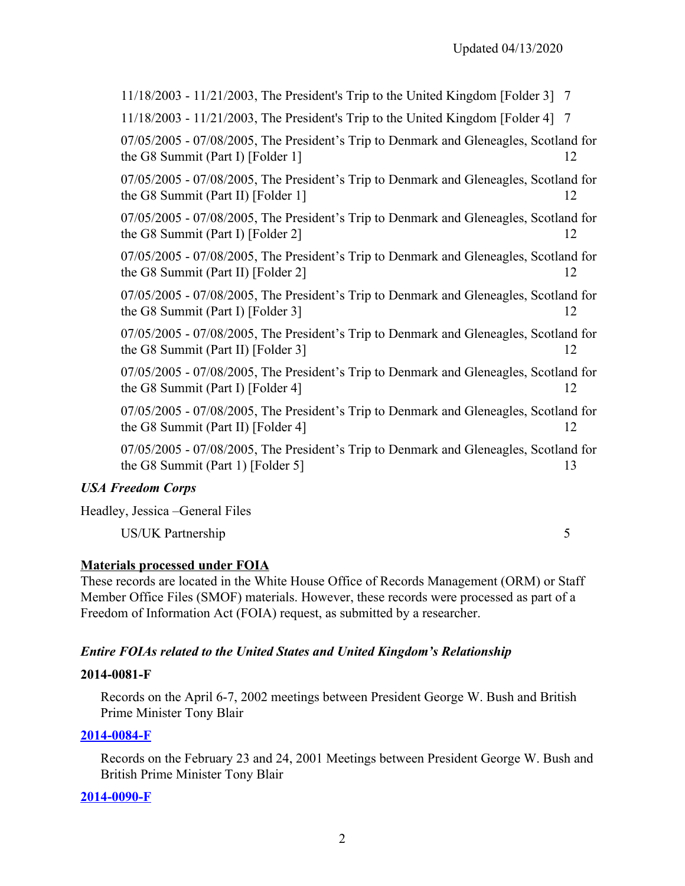5

11/18/2003 - 11/21/2003, The President's Trip to the United Kingdom [Folder 3] 7 11/18/2003 - 11/21/2003, The President's Trip to the United Kingdom [Folder 4] 7 07/05/2005 - 07/08/2005, The President's Trip to Denmark and Gleneagles, Scotland for the G8 Summit (Part I) [Folder 1] 12 07/05/2005 - 07/08/2005, The President's Trip to Denmark and Gleneagles, Scotland for the G8 Summit (Part II) [Folder 1] 12 07/05/2005 - 07/08/2005, The President's Trip to Denmark and Gleneagles, Scotland for the G8 Summit (Part I) [Folder 2] 12 07/05/2005 - 07/08/2005, The President's Trip to Denmark and Gleneagles, Scotland for the G8 Summit (Part II) [Folder 2] 12 07/05/2005 - 07/08/2005, The President's Trip to Denmark and Gleneagles, Scotland for the G8 Summit (Part I) [Folder 3] 12 07/05/2005 - 07/08/2005, The President's Trip to Denmark and Gleneagles, Scotland for the G8 Summit (Part II) [Folder 3] 12 07/05/2005 - 07/08/2005, The President's Trip to Denmark and Gleneagles, Scotland for the G8 Summit (Part I) [Folder 4] 12 07/05/2005 - 07/08/2005, The President's Trip to Denmark and Gleneagles, Scotland for the G8 Summit (Part II) [Folder 4] 12 07/05/2005 - 07/08/2005, The President's Trip to Denmark and Gleneagles, Scotland for the G8 Summit (Part 1) [Folder 5] 13

### *USA Freedom Corps*

Headley, Jessica –General Files

US/UK Partnership

## **Materials processed under FOIA**

These records are located in the White House Office of Records Management (ORM) or Staff Member Office Files (SMOF) materials. However, these records were processed as part of a Freedom of Information Act (FOIA) request, as submitted by a researcher.

# *Entire FOIAs related to the United States and United Kingdom's Relationship*

### **2014-0081-F**

Records on the April 6-7, 2002 meetings between President George W. Bush and British Prime Minister Tony Blair

### **[2014-0084-F](https://www.georgewbushlibrary.gov/research/finding-aids/foia-requests/2014-0084-f-records-february-23-and-24-2001-meetings-between-president-george-w-bush-and-british)**

Records on the February 23 and 24, 2001 Meetings between President George W. Bush and British Prime Minister Tony Blair

### **[2014-0090-F](https://www.georgewbushlibrary.gov/research/finding-aids/foia-requests/2014-0090-f-meeting-between-president-george-w-bush-and-british-prime-minister-tony-blair-january-31)**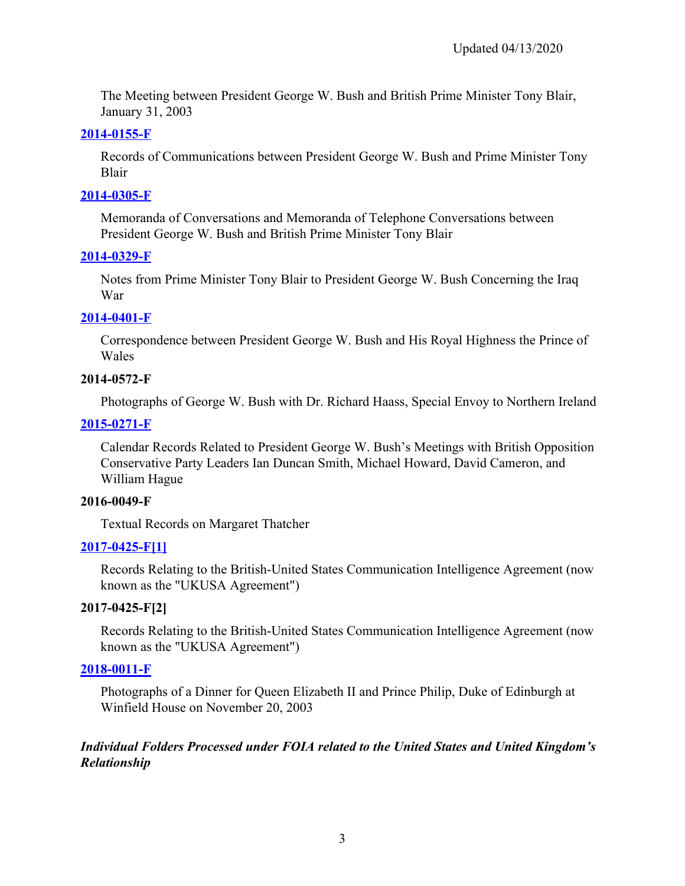The Meeting between President George W. Bush and British Prime Minister Tony Blair, January 31, 2003

## **[2014-0155-F](https://www.georgewbushlibrary.gov/research/finding-aids/foia-requests/2014-0155-f-records-communication-between-president-george-w-bush-and-prime-minister-tony-blair)**

Records of Communications between President George W. Bush and Prime Minister Tony Blair

## **[2014-0305-F](https://www.georgewbushlibrary.gov/research/finding-aids/foia-requests/2014-0305-f-list-memoranda-conversations-and-memoranda-telephone-conversations-between-president)**

Memoranda of Conversations and Memoranda of Telephone Conversations between President George W. Bush and British Prime Minister Tony Blair

## **[2014-0329-F](https://www.georgewbushlibrary.gov/research/finding-aids/foia-requests/2014-0329-f-notes-prime-minister-tony-blair-president-george-w-bush-concerning-iraq-war)**

Notes from Prime Minister Tony Blair to President George W. Bush Concerning the Iraq War

## **[2014-0401-F](https://www.georgewbushlibrary.gov/research/finding-aids/foia-requests/2014-0401-f-correspondence-between-president-george-w-bush-and-his-royal-highness-prince-wales)**

Correspondence between President George W. Bush and His Royal Highness the Prince of Wales

## **2014-0572-F**

Photographs of George W. Bush with Dr. Richard Haass, Special Envoy to Northern Ireland

# **[2015-0271-F](https://www.georgewbushlibrary.gov/research/finding-aids/foia-requests/2015-0271-f-calendar-records-related-president-george-w-bushs-meetings-british-opposition)**

Calendar Records Related to President George W. Bush's Meetings with British Opposition Conservative Party Leaders Ian Duncan Smith, Michael Howard, David Cameron, and William Hague

### **2016-0049-F**

Textual Records on Margaret Thatcher

# **[2017-0425-F\[1\]](https://www.georgewbushlibrary.gov/research/finding-aids/foia-requests/2017-0425-f-records-relating-british-united-states-communication-intelligence-agreement-now-known)**

Records Relating to the British-United States Communication Intelligence Agreement (now known as the "UKUSA Agreement")

# **2017-0425-F[2]**

Records Relating to the British-United States Communication Intelligence Agreement (now known as the "UKUSA Agreement")

# **[2018-0011-F](https://www.georgewbushlibrary.gov/research/finding-aids/foia-requests/2018-0011-p-records-related-brett-kavanaughs-service-white-house-counsels-office-white-house-office)**

Photographs of a Dinner for Queen Elizabeth II and Prince Philip, Duke of Edinburgh at Winfield House on November 20, 2003

## *Individual Folders Processed under FOIA related to the United States and United Kingdom's Relationship*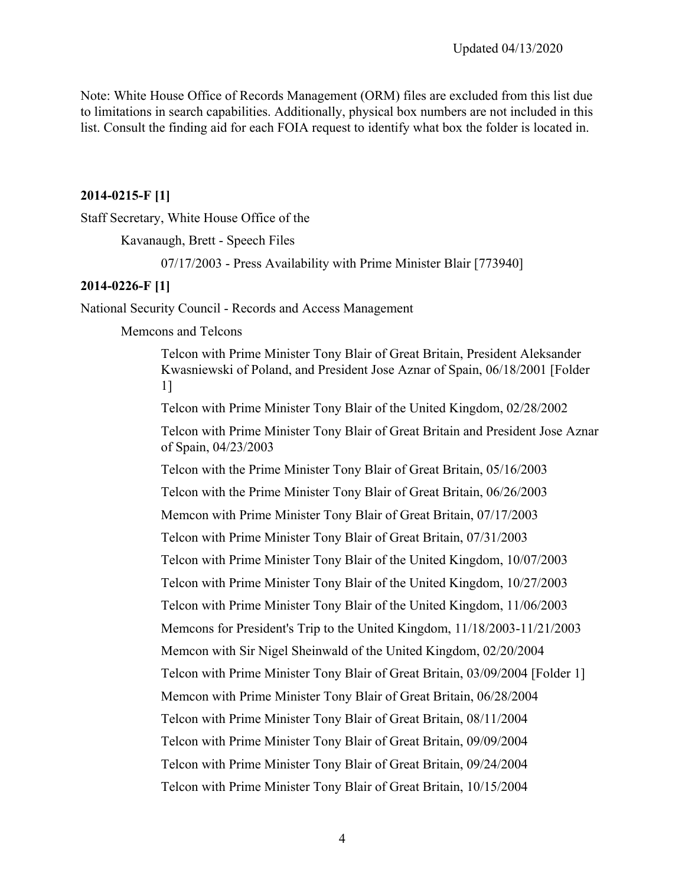Note: White House Office of Records Management (ORM) files are excluded from this list due to limitations in search capabilities. Additionally, physical box numbers are not included in this list. Consult the finding aid for each FOIA request to identify what box the folder is located in.

#### **2014-0215-F [1]**

Staff Secretary, White House Office of the

Kavanaugh, Brett - Speech Files

07/17/2003 - Press Availability with Prime Minister Blair [773940]

#### **2014-0226-F [1]**

National Security Council - Records and Access Management

Memcons and Telcons

Telcon with Prime Minister Tony Blair of Great Britain, President Aleksander Kwasniewski of Poland, and President Jose Aznar of Spain, 06/18/2001 [Folder 1]

Telcon with Prime Minister Tony Blair of the United Kingdom, 02/28/2002

Telcon with Prime Minister Tony Blair of Great Britain and President Jose Aznar of Spain, 04/23/2003

Telcon with the Prime Minister Tony Blair of Great Britain, 05/16/2003 Telcon with the Prime Minister Tony Blair of Great Britain, 06/26/2003 Memcon with Prime Minister Tony Blair of Great Britain, 07/17/2003 Telcon with Prime Minister Tony Blair of Great Britain, 07/31/2003 Telcon with Prime Minister Tony Blair of the United Kingdom, 10/07/2003 Telcon with Prime Minister Tony Blair of the United Kingdom, 10/27/2003 Telcon with Prime Minister Tony Blair of the United Kingdom, 11/06/2003 Memcons for President's Trip to the United Kingdom, 11/18/2003-11/21/2003 Memcon with Sir Nigel Sheinwald of the United Kingdom, 02/20/2004 Telcon with Prime Minister Tony Blair of Great Britain, 03/09/2004 [Folder 1] Memcon with Prime Minister Tony Blair of Great Britain, 06/28/2004 Telcon with Prime Minister Tony Blair of Great Britain, 08/11/2004 Telcon with Prime Minister Tony Blair of Great Britain, 09/09/2004 Telcon with Prime Minister Tony Blair of Great Britain, 09/24/2004 Telcon with Prime Minister Tony Blair of Great Britain, 10/15/2004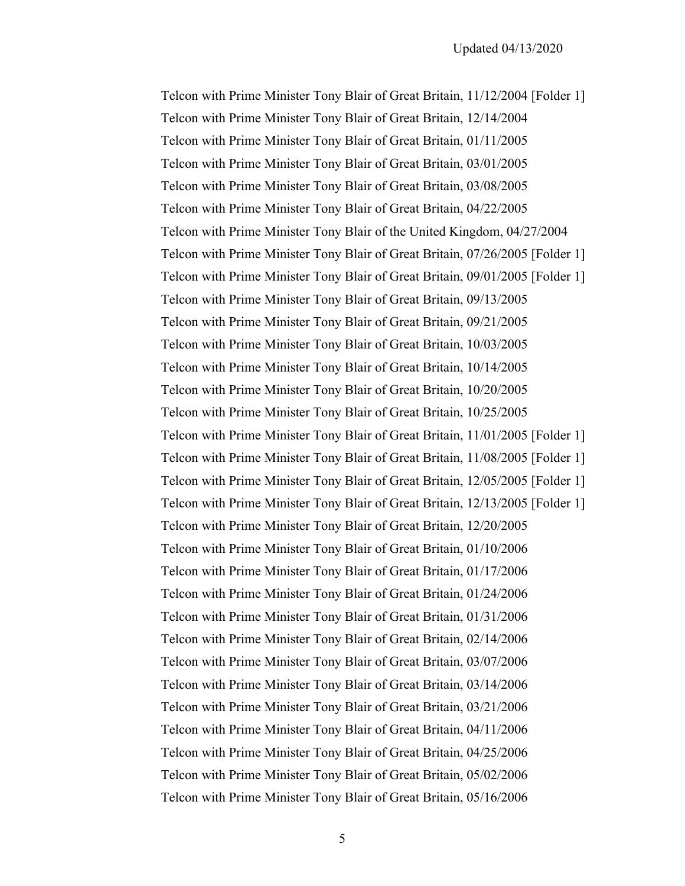Telcon with Prime Minister Tony Blair of Great Britain, 11/12/2004 [Folder 1] Telcon with Prime Minister Tony Blair of Great Britain, 12/14/2004 Telcon with Prime Minister Tony Blair of Great Britain, 01/11/2005 Telcon with Prime Minister Tony Blair of Great Britain, 03/01/2005 Telcon with Prime Minister Tony Blair of Great Britain, 03/08/2005 Telcon with Prime Minister Tony Blair of Great Britain, 04/22/2005 Telcon with Prime Minister Tony Blair of the United Kingdom, 04/27/2004 Telcon with Prime Minister Tony Blair of Great Britain, 07/26/2005 [Folder 1] Telcon with Prime Minister Tony Blair of Great Britain, 09/01/2005 [Folder 1] Telcon with Prime Minister Tony Blair of Great Britain, 09/13/2005 Telcon with Prime Minister Tony Blair of Great Britain, 09/21/2005 Telcon with Prime Minister Tony Blair of Great Britain, 10/03/2005 Telcon with Prime Minister Tony Blair of Great Britain, 10/14/2005 Telcon with Prime Minister Tony Blair of Great Britain, 10/20/2005 Telcon with Prime Minister Tony Blair of Great Britain, 10/25/2005 Telcon with Prime Minister Tony Blair of Great Britain, 11/01/2005 [Folder 1] Telcon with Prime Minister Tony Blair of Great Britain, 11/08/2005 [Folder 1] Telcon with Prime Minister Tony Blair of Great Britain, 12/05/2005 [Folder 1] Telcon with Prime Minister Tony Blair of Great Britain, 12/13/2005 [Folder 1] Telcon with Prime Minister Tony Blair of Great Britain, 12/20/2005 Telcon with Prime Minister Tony Blair of Great Britain, 01/10/2006 Telcon with Prime Minister Tony Blair of Great Britain, 01/17/2006 Telcon with Prime Minister Tony Blair of Great Britain, 01/24/2006 Telcon with Prime Minister Tony Blair of Great Britain, 01/31/2006 Telcon with Prime Minister Tony Blair of Great Britain, 02/14/2006 Telcon with Prime Minister Tony Blair of Great Britain, 03/07/2006 Telcon with Prime Minister Tony Blair of Great Britain, 03/14/2006 Telcon with Prime Minister Tony Blair of Great Britain, 03/21/2006 Telcon with Prime Minister Tony Blair of Great Britain, 04/11/2006 Telcon with Prime Minister Tony Blair of Great Britain, 04/25/2006 Telcon with Prime Minister Tony Blair of Great Britain, 05/02/2006 Telcon with Prime Minister Tony Blair of Great Britain, 05/16/2006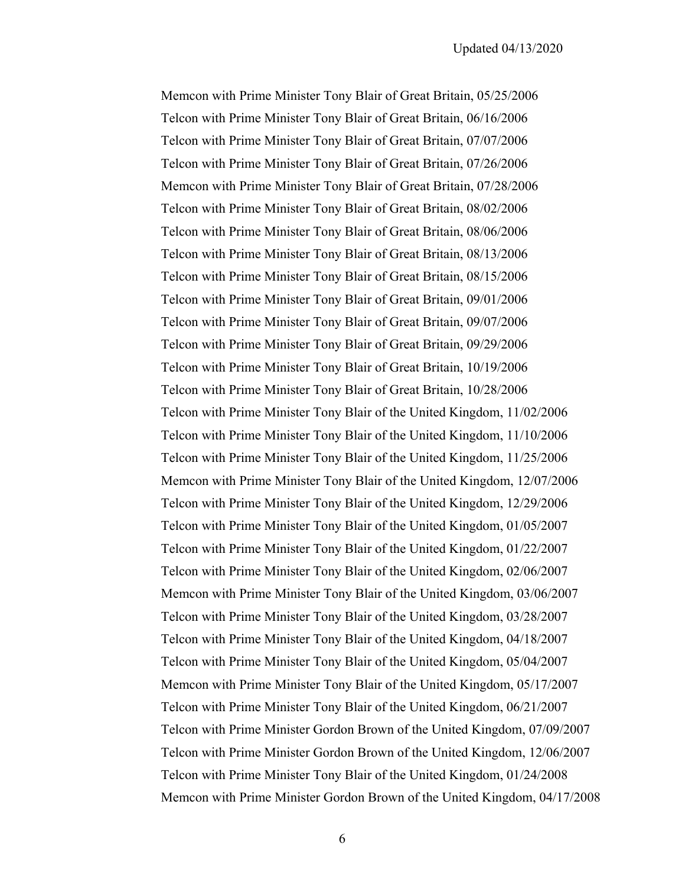Memcon with Prime Minister Tony Blair of Great Britain, 05/25/2006 Telcon with Prime Minister Tony Blair of Great Britain, 06/16/2006 Telcon with Prime Minister Tony Blair of Great Britain, 07/07/2006 Telcon with Prime Minister Tony Blair of Great Britain, 07/26/2006 Memcon with Prime Minister Tony Blair of Great Britain, 07/28/2006 Telcon with Prime Minister Tony Blair of Great Britain, 08/02/2006 Telcon with Prime Minister Tony Blair of Great Britain, 08/06/2006 Telcon with Prime Minister Tony Blair of Great Britain, 08/13/2006 Telcon with Prime Minister Tony Blair of Great Britain, 08/15/2006 Telcon with Prime Minister Tony Blair of Great Britain, 09/01/2006 Telcon with Prime Minister Tony Blair of Great Britain, 09/07/2006 Telcon with Prime Minister Tony Blair of Great Britain, 09/29/2006 Telcon with Prime Minister Tony Blair of Great Britain, 10/19/2006 Telcon with Prime Minister Tony Blair of Great Britain, 10/28/2006 Telcon with Prime Minister Tony Blair of the United Kingdom, 11/02/2006 Telcon with Prime Minister Tony Blair of the United Kingdom, 11/10/2006 Telcon with Prime Minister Tony Blair of the United Kingdom, 11/25/2006 Memcon with Prime Minister Tony Blair of the United Kingdom, 12/07/2006 Telcon with Prime Minister Tony Blair of the United Kingdom, 12/29/2006 Telcon with Prime Minister Tony Blair of the United Kingdom, 01/05/2007 Telcon with Prime Minister Tony Blair of the United Kingdom, 01/22/2007 Telcon with Prime Minister Tony Blair of the United Kingdom, 02/06/2007 Memcon with Prime Minister Tony Blair of the United Kingdom, 03/06/2007 Telcon with Prime Minister Tony Blair of the United Kingdom, 03/28/2007 Telcon with Prime Minister Tony Blair of the United Kingdom, 04/18/2007 Telcon with Prime Minister Tony Blair of the United Kingdom, 05/04/2007 Memcon with Prime Minister Tony Blair of the United Kingdom, 05/17/2007 Telcon with Prime Minister Tony Blair of the United Kingdom, 06/21/2007 Telcon with Prime Minister Gordon Brown of the United Kingdom, 07/09/2007 Telcon with Prime Minister Gordon Brown of the United Kingdom, 12/06/2007 Telcon with Prime Minister Tony Blair of the United Kingdom, 01/24/2008 Memcon with Prime Minister Gordon Brown of the United Kingdom, 04/17/2008

6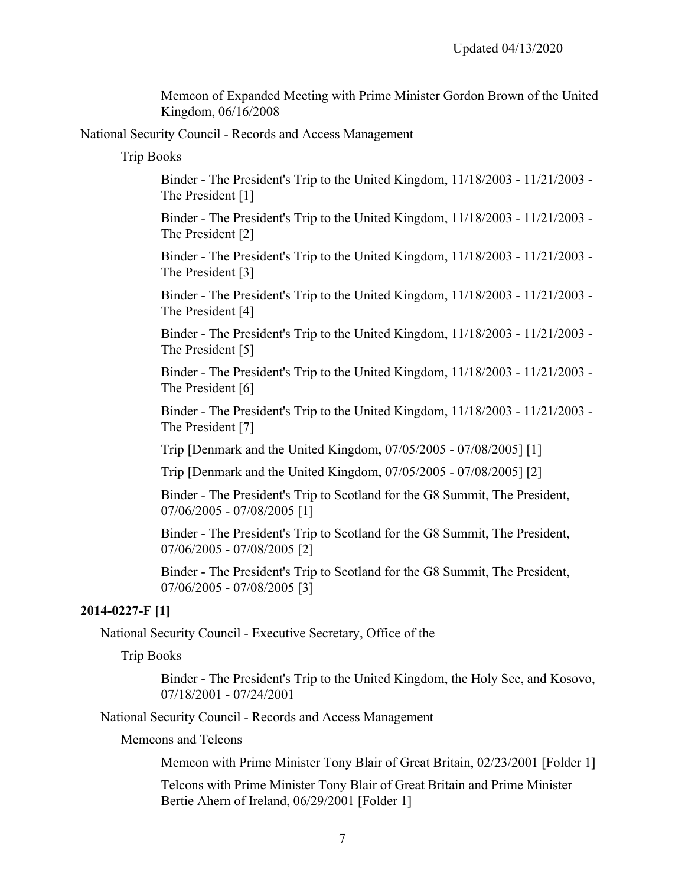Memcon of Expanded Meeting with Prime Minister Gordon Brown of the United Kingdom, 06/16/2008

National Security Council - Records and Access Management

Trip Books

Binder - The President's Trip to the United Kingdom, 11/18/2003 - 11/21/2003 - The President [1]

Binder - The President's Trip to the United Kingdom, 11/18/2003 - 11/21/2003 - The President [2]

Binder - The President's Trip to the United Kingdom, 11/18/2003 - 11/21/2003 - The President [3]

Binder - The President's Trip to the United Kingdom, 11/18/2003 - 11/21/2003 - The President [4]

Binder - The President's Trip to the United Kingdom, 11/18/2003 - 11/21/2003 - The President [5]

Binder - The President's Trip to the United Kingdom, 11/18/2003 - 11/21/2003 - The President [6]

Binder - The President's Trip to the United Kingdom, 11/18/2003 - 11/21/2003 - The President [7]

Trip [Denmark and the United Kingdom, 07/05/2005 - 07/08/2005] [1]

Trip [Denmark and the United Kingdom, 07/05/2005 - 07/08/2005] [2]

Binder - The President's Trip to Scotland for the G8 Summit, The President, 07/06/2005 - 07/08/2005 [1]

Binder - The President's Trip to Scotland for the G8 Summit, The President, 07/06/2005 - 07/08/2005 [2]

Binder - The President's Trip to Scotland for the G8 Summit, The President, 07/06/2005 - 07/08/2005 [3]

#### **2014-0227-F [1]**

National Security Council - Executive Secretary, Office of the

Trip Books

Binder - The President's Trip to the United Kingdom, the Holy See, and Kosovo, 07/18/2001 - 07/24/2001

National Security Council - Records and Access Management

Memcons and Telcons

Memcon with Prime Minister Tony Blair of Great Britain, 02/23/2001 [Folder 1]

Telcons with Prime Minister Tony Blair of Great Britain and Prime Minister Bertie Ahern of Ireland, 06/29/2001 [Folder 1]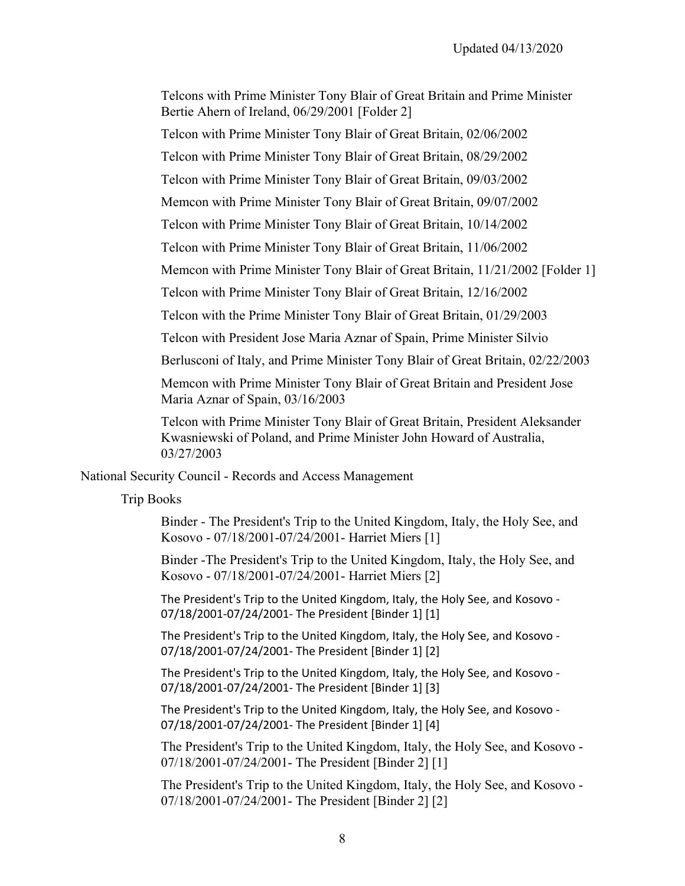Telcons with Prime Minister Tony Blair of Great Britain and Prime Minister Bertie Ahern of Ireland, 06/29/2001 [Folder 2]

Telcon with Prime Minister Tony Blair of Great Britain, 02/06/2002

Telcon with Prime Minister Tony Blair of Great Britain, 08/29/2002

Telcon with Prime Minister Tony Blair of Great Britain, 09/03/2002

Memcon with Prime Minister Tony Blair of Great Britain, 09/07/2002

Telcon with Prime Minister Tony Blair of Great Britain, 10/14/2002

Telcon with Prime Minister Tony Blair of Great Britain, 11/06/2002

Memcon with Prime Minister Tony Blair of Great Britain, 11/21/2002 [Folder 1]

Telcon with Prime Minister Tony Blair of Great Britain, 12/16/2002

Telcon with the Prime Minister Tony Blair of Great Britain, 01/29/2003

Telcon with President Jose Maria Aznar of Spain, Prime Minister Silvio

Berlusconi of Italy, and Prime Minister Tony Blair of Great Britain, 02/22/2003

Memcon with Prime Minister Tony Blair of Great Britain and President Jose Maria Aznar of Spain, 03/16/2003

Telcon with Prime Minister Tony Blair of Great Britain, President Aleksander Kwasniewski of Poland, and Prime Minister John Howard of Australia, 03/27/2003

National Security Council - Records and Access Management

Trip Books

Binder - The President's Trip to the United Kingdom, Italy, the Holy See, and Kosovo - 07/18/2001-07/24/2001- Harriet Miers [1]

Binder -The President's Trip to the United Kingdom, Italy, the Holy See, and Kosovo - 07/18/2001-07/24/2001- Harriet Miers [2]

 The President's Trip to the United Kingdom, Italy, the Holy See, and Kosovo - 07/18/2001-07/24/2001- The President [Binder 1] [1]

 07/18/2001-07/24/2001- The President [Binder 1] [2] The President's Trip to the United Kingdom, Italy, the Holy See, and Kosovo -

 07/18/2001-07/24/2001- The President [Binder 1] [3] The President's Trip to the United Kingdom, Italy, the Holy See, and Kosovo -

 07/18/2001-07/24/2001- The President [Binder 1] [4] The President's Trip to the United Kingdom, Italy, the Holy See, and Kosovo -

The President's Trip to the United Kingdom, Italy, the Holy See, and Kosovo - 07/18/2001-07/24/2001- The President [Binder 2] [1]

The President's Trip to the United Kingdom, Italy, the Holy See, and Kosovo - 07/18/2001-07/24/2001- The President [Binder 2] [2]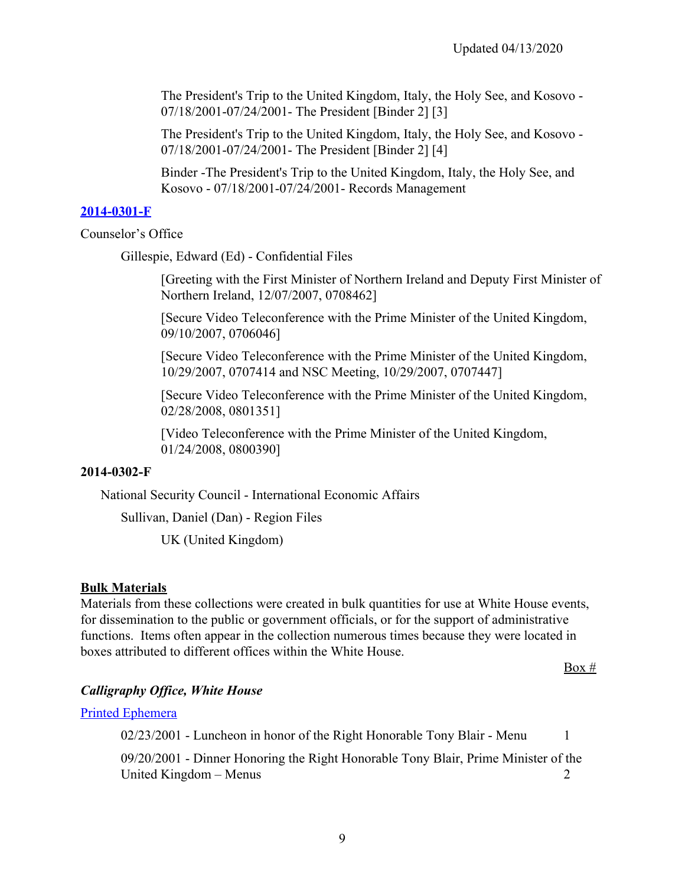The President's Trip to the United Kingdom, Italy, the Holy See, and Kosovo - 07/18/2001-07/24/2001- The President [Binder 2] [3]

The President's Trip to the United Kingdom, Italy, the Holy See, and Kosovo - 07/18/2001-07/24/2001- The President [Binder 2] [4]

Binder -The President's Trip to the United Kingdom, Italy, the Holy See, and Kosovo - 07/18/2001-07/24/2001- Records Management

#### **[2014-0301-F](https://www.georgewbushlibrary.gov/research/finding-aids/foia-requests/2014-0301-f-records-edward-ed-gillespie)**

Counselor's Office

Gillespie, Edward (Ed) - Confidential Files

[Greeting with the First Minister of Northern Ireland and Deputy First Minister of Northern Ireland, 12/07/2007, 0708462]

[Secure Video Teleconference with the Prime Minister of the United Kingdom, 09/10/2007, 0706046]

[Secure Video Teleconference with the Prime Minister of the United Kingdom, 10/29/2007, 0707414 and NSC Meeting, 10/29/2007, 0707447]

[Secure Video Teleconference with the Prime Minister of the United Kingdom, 02/28/2008, 0801351]

[Video Teleconference with the Prime Minister of the United Kingdom, 01/24/2008, 0800390]

#### **2014-0302-F**

National Security Council - International Economic Affairs

Sullivan, Daniel (Dan) - Region Files

UK (United Kingdom)

#### **Bulk Materials**

 functions. Items often appear in the collection numerous times because they were located in Materials from these collections were created in bulk quantities for use at White House events, for dissemination to the public or government officials, or for the support of administrative boxes attributed to different offices within the White House.

 $Box #$ 

### *Calligraphy Office, White House*

[Printed Ephemera](https://www.georgewbushlibrary.gov/research/finding-aids/white-house-staff-member-office-files/calligraphy-office-white-house-printed-ephemera)

02/23/2001 - Luncheon in honor of the Right Honorable Tony Blair - Menu 1

09/20/2001 - Dinner Honoring the Right Honorable Tony Blair, Prime Minister of the United Kingdom – Menus 2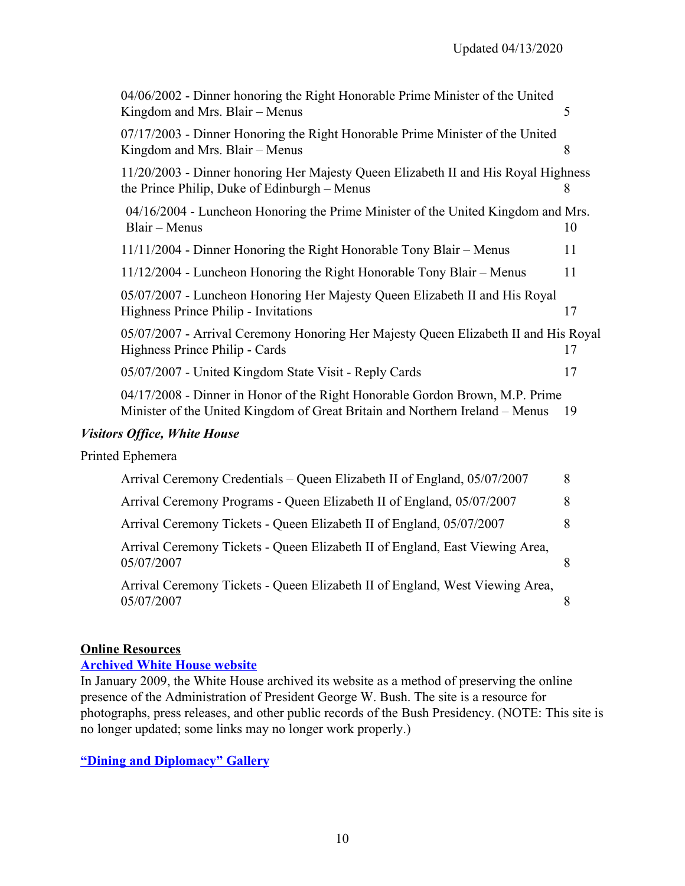| 04/06/2002 - Dinner honoring the Right Honorable Prime Minister of the United<br>Kingdom and Mrs. Blair - Menus                                              | 5  |
|--------------------------------------------------------------------------------------------------------------------------------------------------------------|----|
| 07/17/2003 - Dinner Honoring the Right Honorable Prime Minister of the United<br>Kingdom and Mrs. Blair - Menus                                              | 8  |
| 11/20/2003 - Dinner honoring Her Majesty Queen Elizabeth II and His Royal Highness<br>the Prince Philip, Duke of Edinburgh – Menus                           | 8  |
| 04/16/2004 - Luncheon Honoring the Prime Minister of the United Kingdom and Mrs.<br>Blair - Menus                                                            | 10 |
| 11/11/2004 - Dinner Honoring the Right Honorable Tony Blair - Menus                                                                                          | 11 |
| 11/12/2004 - Luncheon Honoring the Right Honorable Tony Blair – Menus                                                                                        | 11 |
| 05/07/2007 - Luncheon Honoring Her Majesty Queen Elizabeth II and His Royal<br>Highness Prince Philip - Invitations                                          | 17 |
| 05/07/2007 - Arrival Ceremony Honoring Her Majesty Queen Elizabeth II and His Royal<br>Highness Prince Philip - Cards                                        | 17 |
| 05/07/2007 - United Kingdom State Visit - Reply Cards                                                                                                        | 17 |
| 04/17/2008 - Dinner in Honor of the Right Honorable Gordon Brown, M.P. Prime<br>Minister of the United Kingdom of Great Britain and Northern Ireland – Menus | 19 |
| <b>Visitors Office, White House</b>                                                                                                                          |    |
| Printed Ephemera                                                                                                                                             |    |
| Arrival Ceremony Credentials – Queen Elizabeth II of England, 05/07/2007                                                                                     | 8  |
| Arrival Ceremony Programs - Queen Elizabeth II of England, 05/07/2007                                                                                        | 8  |
| Arrival Ceremony Tickets - Queen Elizabeth II of England, 05/07/2007                                                                                         | 8  |
| Arrival Ceremony Tickets - Queen Elizabeth II of England, East Viewing Area,<br>05/07/2007                                                                   | 8  |
| Arrival Ceremony Tickets - Queen Elizabeth II of England, West Viewing Area,<br>05/07/2007                                                                   | 8  |

## **Online Resources**

#### **[Archived White House website](https://georgewbush-whitehouse.archives.gov/index.html)**

In January 2009, the White House archived its website as a method of preserving the online presence of the Administration of President George W. Bush. The site is a resource for photographs, press releases, and other public records of the Bush Presidency. (NOTE: This site is no longer updated; some links may no longer work properly.)

**["Dining and Diplomacy" Gallery](https://www.georgewbushlibrary.gov/explore/exhibits/dining-and-diplomacy)**